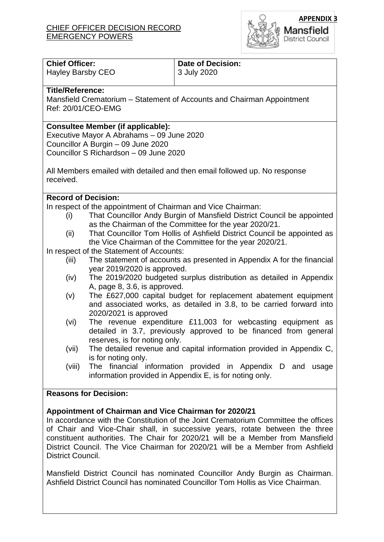

| <b>Chief Officer:</b>                                                           |                               | <b>Date of Decision:</b>                                                                                                            |  |
|---------------------------------------------------------------------------------|-------------------------------|-------------------------------------------------------------------------------------------------------------------------------------|--|
| <b>Hayley Barsby CEO</b>                                                        |                               | 3 July 2020                                                                                                                         |  |
| <b>Title/Reference:</b>                                                         |                               |                                                                                                                                     |  |
| Mansfield Crematorium - Statement of Accounts and Chairman Appointment          |                               |                                                                                                                                     |  |
| Ref: 20/01/CEO-EMG                                                              |                               |                                                                                                                                     |  |
|                                                                                 |                               |                                                                                                                                     |  |
| <b>Consultee Member (if applicable):</b>                                        |                               |                                                                                                                                     |  |
| Executive Mayor A Abrahams - 09 June 2020<br>Councillor A Burgin - 09 June 2020 |                               |                                                                                                                                     |  |
| Councillor S Richardson - 09 June 2020                                          |                               |                                                                                                                                     |  |
|                                                                                 |                               |                                                                                                                                     |  |
| All Members emailed with detailed and then email followed up. No response       |                               |                                                                                                                                     |  |
| received.                                                                       |                               |                                                                                                                                     |  |
|                                                                                 |                               |                                                                                                                                     |  |
| <b>Record of Decision:</b>                                                      |                               |                                                                                                                                     |  |
| In respect of the appointment of Chairman and Vice Chairman:                    |                               |                                                                                                                                     |  |
| (i)                                                                             |                               | That Councillor Andy Burgin of Mansfield District Council be appointed                                                              |  |
|                                                                                 |                               | as the Chairman of the Committee for the year 2020/21.                                                                              |  |
| (ii)                                                                            |                               | That Councillor Tom Hollis of Ashfield District Council be appointed as<br>the Vice Chairman of the Committee for the year 2020/21. |  |
| In respect of the Statement of Accounts:                                        |                               |                                                                                                                                     |  |
| (iii)                                                                           |                               | The statement of accounts as presented in Appendix A for the financial                                                              |  |
|                                                                                 | year 2019/2020 is approved.   |                                                                                                                                     |  |
| (iv)                                                                            |                               | The 2019/2020 budgeted surplus distribution as detailed in Appendix                                                                 |  |
|                                                                                 | A, page 8, 3.6, is approved.  |                                                                                                                                     |  |
| (v)                                                                             |                               | The £627,000 capital budget for replacement abatement equipment                                                                     |  |
|                                                                                 |                               | and associated works, as detailed in 3.8, to be carried forward into                                                                |  |
|                                                                                 | 2020/2021 is approved         |                                                                                                                                     |  |
| (vi)                                                                            |                               | The revenue expenditure £11,003 for webcasting equipment as                                                                         |  |
|                                                                                 |                               | detailed in 3.7, previously approved to be financed from general                                                                    |  |
| (vii)                                                                           | reserves, is for noting only. | The detailed revenue and capital information provided in Appendix C,                                                                |  |
|                                                                                 | is for noting only.           |                                                                                                                                     |  |
| (viii)                                                                          |                               | The financial information provided in Appendix D and usage                                                                          |  |
|                                                                                 |                               | information provided in Appendix E, is for noting only.                                                                             |  |
|                                                                                 |                               |                                                                                                                                     |  |
| <b>Reasons for Decision:</b>                                                    |                               |                                                                                                                                     |  |
|                                                                                 |                               |                                                                                                                                     |  |
| Appointment of Chairman and Vice Chairman for 2020/21                           |                               |                                                                                                                                     |  |

In accordance with the Constitution of the Joint Crematorium Committee the offices of Chair and Vice-Chair shall, in successive years, rotate between the three constituent authorities. The Chair for 2020/21 will be a Member from Mansfield District Council. The Vice Chairman for 2020/21 will be a Member from Ashfield District Council.

Mansfield District Council has nominated Councillor Andy Burgin as Chairman. Ashfield District Council has nominated Councillor Tom Hollis as Vice Chairman.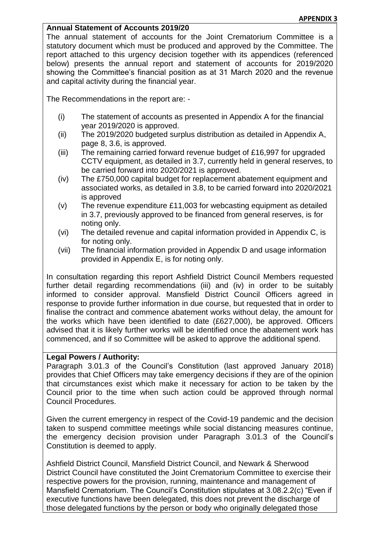## **Annual Statement of Accounts 2019/20**

The annual statement of accounts for the Joint Crematorium Committee is a statutory document which must be produced and approved by the Committee. The report attached to this urgency decision together with its appendices (referenced below) presents the annual report and statement of accounts for 2019/2020 showing the Committee's financial position as at 31 March 2020 and the revenue and capital activity during the financial year.

The Recommendations in the report are: -

- (i) The statement of accounts as presented in Appendix A for the financial year 2019/2020 is approved.
- (ii) The 2019/2020 budgeted surplus distribution as detailed in Appendix A, page 8, 3.6, is approved.
- (iii) The remaining carried forward revenue budget of £16,997 for upgraded CCTV equipment, as detailed in 3.7, currently held in general reserves, to be carried forward into 2020/2021 is approved.
- (iv) The £750,000 capital budget for replacement abatement equipment and associated works, as detailed in 3.8, to be carried forward into 2020/2021 is approved
- (v) The revenue expenditure £11,003 for webcasting equipment as detailed in 3.7, previously approved to be financed from general reserves, is for noting only.
- (vi) The detailed revenue and capital information provided in Appendix C, is for noting only.
- (vii) The financial information provided in Appendix D and usage information provided in Appendix E, is for noting only.

In consultation regarding this report Ashfield District Council Members requested further detail regarding recommendations (iii) and (iv) in order to be suitably informed to consider approval. Mansfield District Council Officers agreed in response to provide further information in due course, but requested that in order to finalise the contract and commence abatement works without delay, the amount for the works which have been identified to date (£627,000), be approved. Officers advised that it is likely further works will be identified once the abatement work has commenced, and if so Committee will be asked to approve the additional spend.

## **Legal Powers / Authority:**

Paragraph 3.01.3 of the Council's Constitution (last approved January 2018) provides that Chief Officers may take emergency decisions if they are of the opinion that circumstances exist which make it necessary for action to be taken by the Council prior to the time when such action could be approved through normal Council Procedures.

Given the current emergency in respect of the Covid-19 pandemic and the decision taken to suspend committee meetings while social distancing measures continue, the emergency decision provision under Paragraph 3.01.3 of the Council's Constitution is deemed to apply.

Ashfield District Council, Mansfield District Council, and Newark & Sherwood District Council have constituted the Joint Crematorium Committee to exercise their respective powers for the provision, running, maintenance and management of Mansfield Crematorium. The Council's Constitution stipulates at 3.08.2.2(c) "Even if executive functions have been delegated, this does not prevent the discharge of those delegated functions by the person or body who originally delegated those